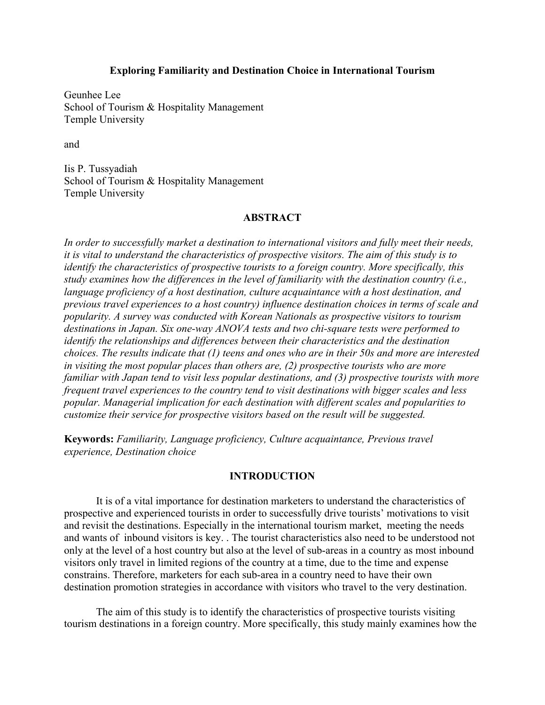## **Exploring Familiarity and Destination Choice in International Tourism**

Geunhee Lee School of Tourism & Hospitality Management Temple University

and

Iis P. Tussyadiah School of Tourism & Hospitality Management Temple University

## **ABSTRACT**

*In order to successfully market a destination to international visitors and fully meet their needs, it is vital to understand the characteristics of prospective visitors. The aim of this study is to identify the characteristics of prospective tourists to a foreign country. More specifically, this study examines how the differences in the level of familiarity with the destination country (i.e., language proficiency of a host destination, culture acquaintance with a host destination, and previous travel experiences to a host country) influence destination choices in terms of scale and popularity. A survey was conducted with Korean Nationals as prospective visitors to tourism destinations in Japan. Six one-way ANOVA tests and two chi-square tests were performed to identify the relationships and differences between their characteristics and the destination choices. The results indicate that (1) teens and ones who are in their 50s and more are interested in visiting the most popular places than others are, (2) prospective tourists who are more familiar with Japan tend to visit less popular destinations, and (3) prospective tourists with more frequent travel experiences to the country tend to visit destinations with bigger scales and less popular. Managerial implication for each destination with different scales and popularities to customize their service for prospective visitors based on the result will be suggested.*

**Keywords:** *Familiarity, Language proficiency, Culture acquaintance, Previous travel experience, Destination choice*

### **INTRODUCTION**

It is of a vital importance for destination marketers to understand the characteristics of prospective and experienced tourists in order to successfully drive tourists' motivations to visit and revisit the destinations. Especially in the international tourism market, meeting the needs and wants of inbound visitors is key. . The tourist characteristics also need to be understood not only at the level of a host country but also at the level of sub-areas in a country as most inbound visitors only travel in limited regions of the country at a time, due to the time and expense constrains. Therefore, marketers for each sub-area in a country need to have their own destination promotion strategies in accordance with visitors who travel to the very destination.

The aim of this study is to identify the characteristics of prospective tourists visiting tourism destinations in a foreign country. More specifically, this study mainly examines how the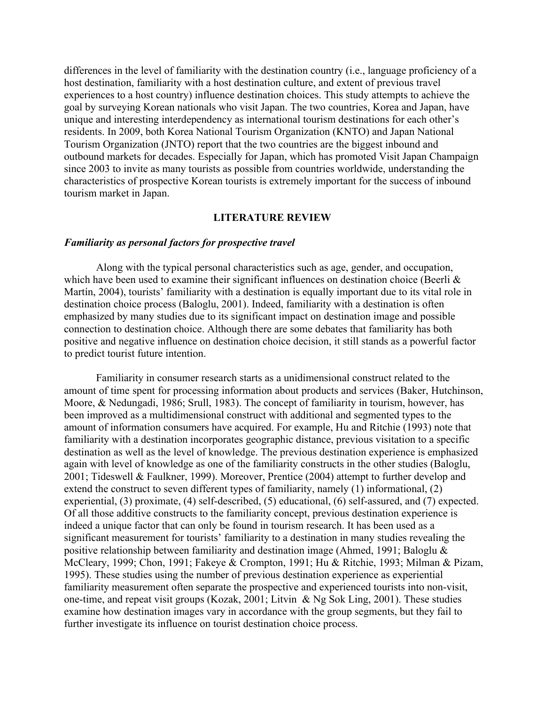differences in the level of familiarity with the destination country (i.e., language proficiency of a host destination, familiarity with a host destination culture, and extent of previous travel experiences to a host country) influence destination choices. This study attempts to achieve the goal by surveying Korean nationals who visit Japan. The two countries, Korea and Japan, have unique and interesting interdependency as international tourism destinations for each other's residents. In 2009, both Korea National Tourism Organization (KNTO) and Japan National Tourism Organization (JNTO) report that the two countries are the biggest inbound and outbound markets for decades. Especially for Japan, which has promoted Visit Japan Champaign since 2003 to invite as many tourists as possible from countries worldwide, understanding the characteristics of prospective Korean tourists is extremely important for the success of inbound tourism market in Japan.

### **LITERATURE REVIEW**

#### *Familiarity as personal factors for prospective travel*

Along with the typical personal characteristics such as age, gender, and occupation, which have been used to examine their significant influences on destination choice (Beerli & Martín, 2004), tourists' familiarity with a destination is equally important due to its vital role in destination choice process (Baloglu, 2001). Indeed, familiarity with a destination is often emphasized by many studies due to its significant impact on destination image and possible connection to destination choice. Although there are some debates that familiarity has both positive and negative influence on destination choice decision, it still stands as a powerful factor to predict tourist future intention.

Familiarity in consumer research starts as a unidimensional construct related to the amount of time spent for processing information about products and services (Baker, Hutchinson, Moore, & Nedungadi, 1986; Srull, 1983). The concept of familiarity in tourism, however, has been improved as a multidimensional construct with additional and segmented types to the amount of information consumers have acquired. For example, Hu and Ritchie (1993) note that familiarity with a destination incorporates geographic distance, previous visitation to a specific destination as well as the level of knowledge. The previous destination experience is emphasized again with level of knowledge as one of the familiarity constructs in the other studies (Baloglu, 2001; Tideswell & Faulkner, 1999). Moreover, Prentice (2004) attempt to further develop and extend the construct to seven different types of familiarity, namely (1) informational, (2) experiential, (3) proximate, (4) self-described, (5) educational, (6) self-assured, and (7) expected. Of all those additive constructs to the familiarity concept, previous destination experience is indeed a unique factor that can only be found in tourism research. It has been used as a significant measurement for tourists' familiarity to a destination in many studies revealing the positive relationship between familiarity and destination image (Ahmed, 1991; Baloglu & McCleary, 1999; Chon, 1991; Fakeye & Crompton, 1991; Hu & Ritchie, 1993; Milman & Pizam, 1995). These studies using the number of previous destination experience as experiential familiarity measurement often separate the prospective and experienced tourists into non-visit, one-time, and repeat visit groups (Kozak, 2001; Litvin & Ng Sok Ling, 2001). These studies examine how destination images vary in accordance with the group segments, but they fail to further investigate its influence on tourist destination choice process.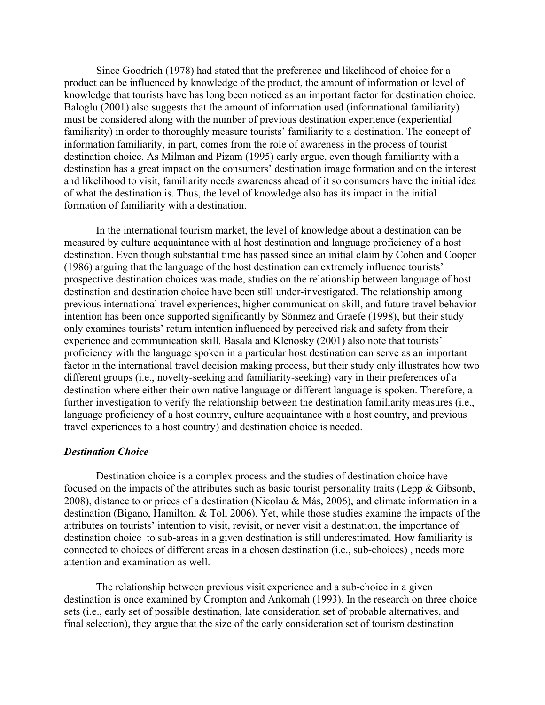Since Goodrich (1978) had stated that the preference and likelihood of choice for a product can be influenced by knowledge of the product, the amount of information or level of knowledge that tourists have has long been noticed as an important factor for destination choice. Baloglu (2001) also suggests that the amount of information used (informational familiarity) must be considered along with the number of previous destination experience (experiential familiarity) in order to thoroughly measure tourists' familiarity to a destination. The concept of information familiarity, in part, comes from the role of awareness in the process of tourist destination choice. As Milman and Pizam (1995) early argue, even though familiarity with a destination has a great impact on the consumers' destination image formation and on the interest and likelihood to visit, familiarity needs awareness ahead of it so consumers have the initial idea of what the destination is. Thus, the level of knowledge also has its impact in the initial formation of familiarity with a destination.

In the international tourism market, the level of knowledge about a destination can be measured by culture acquaintance with al host destination and language proficiency of a host destination. Even though substantial time has passed since an initial claim by Cohen and Cooper (1986) arguing that the language of the host destination can extremely influence tourists' prospective destination choices was made, studies on the relationship between language of host destination and destination choice have been still under-investigated. The relationship among previous international travel experiences, higher communication skill, and future travel behavior intention has been once supported significantly by Sönmez and Graefe (1998), but their study only examines tourists' return intention influenced by perceived risk and safety from their experience and communication skill. Basala and Klenosky (2001) also note that tourists' proficiency with the language spoken in a particular host destination can serve as an important factor in the international travel decision making process, but their study only illustrates how two different groups (i.e., novelty-seeking and familiarity-seeking) vary in their preferences of a destination where either their own native language or different language is spoken. Therefore, a further investigation to verify the relationship between the destination familiarity measures (i.e., language proficiency of a host country, culture acquaintance with a host country, and previous travel experiences to a host country) and destination choice is needed.

### *Destination Choice*

Destination choice is a complex process and the studies of destination choice have focused on the impacts of the attributes such as basic tourist personality traits (Lepp & Gibsonb, 2008), distance to or prices of a destination (Nicolau & Más, 2006), and climate information in a destination (Bigano, Hamilton, & Tol, 2006). Yet, while those studies examine the impacts of the attributes on tourists' intention to visit, revisit, or never visit a destination, the importance of destination choice to sub-areas in a given destination is still underestimated. How familiarity is connected to choices of different areas in a chosen destination (i.e., sub-choices) , needs more attention and examination as well.

The relationship between previous visit experience and a sub-choice in a given destination is once examined by Crompton and Ankomah (1993). In the research on three choice sets (i.e., early set of possible destination, late consideration set of probable alternatives, and final selection), they argue that the size of the early consideration set of tourism destination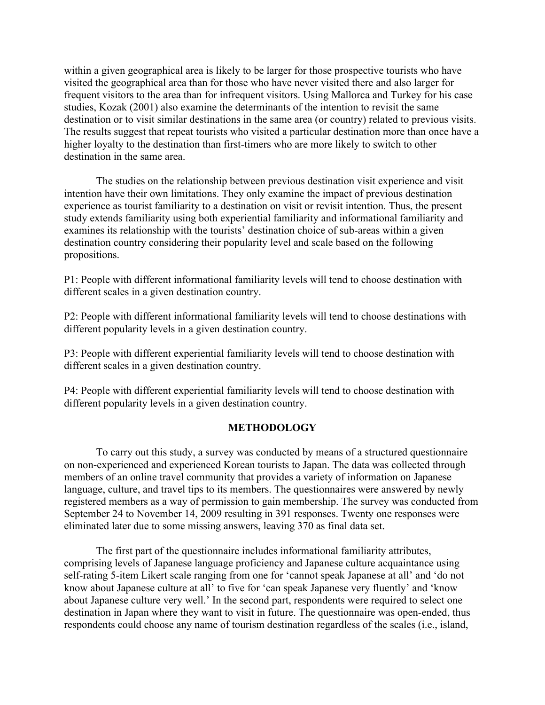within a given geographical area is likely to be larger for those prospective tourists who have visited the geographical area than for those who have never visited there and also larger for frequent visitors to the area than for infrequent visitors. Using Mallorca and Turkey for his case studies, Kozak (2001) also examine the determinants of the intention to revisit the same destination or to visit similar destinations in the same area (or country) related to previous visits. The results suggest that repeat tourists who visited a particular destination more than once have a higher loyalty to the destination than first-timers who are more likely to switch to other destination in the same area.

The studies on the relationship between previous destination visit experience and visit intention have their own limitations. They only examine the impact of previous destination experience as tourist familiarity to a destination on visit or revisit intention. Thus, the present study extends familiarity using both experiential familiarity and informational familiarity and examines its relationship with the tourists' destination choice of sub-areas within a given destination country considering their popularity level and scale based on the following propositions.

P1: People with different informational familiarity levels will tend to choose destination with different scales in a given destination country.

P2: People with different informational familiarity levels will tend to choose destinations with different popularity levels in a given destination country.

P3: People with different experiential familiarity levels will tend to choose destination with different scales in a given destination country.

P4: People with different experiential familiarity levels will tend to choose destination with different popularity levels in a given destination country.

# **METHODOLOGY**

To carry out this study, a survey was conducted by means of a structured questionnaire on non-experienced and experienced Korean tourists to Japan. The data was collected through members of an online travel community that provides a variety of information on Japanese language, culture, and travel tips to its members. The questionnaires were answered by newly registered members as a way of permission to gain membership. The survey was conducted from September 24 to November 14, 2009 resulting in 391 responses. Twenty one responses were eliminated later due to some missing answers, leaving 370 as final data set.

The first part of the questionnaire includes informational familiarity attributes, comprising levels of Japanese language proficiency and Japanese culture acquaintance using self-rating 5-item Likert scale ranging from one for 'cannot speak Japanese at all' and 'do not know about Japanese culture at all' to five for 'can speak Japanese very fluently' and 'know about Japanese culture very well.' In the second part, respondents were required to select one destination in Japan where they want to visit in future. The questionnaire was open-ended, thus respondents could choose any name of tourism destination regardless of the scales (i.e., island,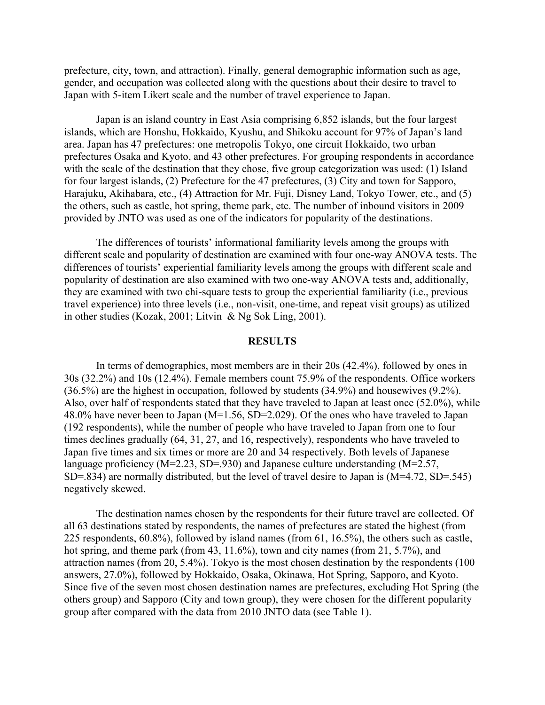prefecture, city, town, and attraction). Finally, general demographic information such as age, gender, and occupation was collected along with the questions about their desire to travel to Japan with 5-item Likert scale and the number of travel experience to Japan.

Japan is an island country in East Asia comprising 6,852 islands, but the four largest islands, which are Honshu, Hokkaido, Kyushu, and Shikoku account for 97% of Japan's land area. Japan has 47 prefectures: one metropolis Tokyo, one circuit Hokkaido, two urban prefectures Osaka and Kyoto, and 43 other prefectures. For grouping respondents in accordance with the scale of the destination that they chose, five group categorization was used: (1) Island for four largest islands, (2) Prefecture for the 47 prefectures, (3) City and town for Sapporo, Harajuku, Akihabara, etc., (4) Attraction for Mr. Fuji, Disney Land, Tokyo Tower, etc., and (5) the others, such as castle, hot spring, theme park, etc. The number of inbound visitors in 2009 provided by JNTO was used as one of the indicators for popularity of the destinations.

The differences of tourists' informational familiarity levels among the groups with different scale and popularity of destination are examined with four one-way ANOVA tests. The differences of tourists' experiential familiarity levels among the groups with different scale and popularity of destination are also examined with two one-way ANOVA tests and, additionally, they are examined with two chi-square tests to group the experiential familiarity (i.e., previous travel experience) into three levels (i.e., non-visit, one-time, and repeat visit groups) as utilized in other studies (Kozak, 2001; Litvin & Ng Sok Ling, 2001).

#### **RESULTS**

In terms of demographics, most members are in their 20s (42.4%), followed by ones in 30s (32.2%) and 10s (12.4%). Female members count 75.9% of the respondents. Office workers (36.5%) are the highest in occupation, followed by students (34.9%) and housewives (9.2%). Also, over half of respondents stated that they have traveled to Japan at least once (52.0%), while 48.0% have never been to Japan (M=1.56, SD=2.029). Of the ones who have traveled to Japan (192 respondents), while the number of people who have traveled to Japan from one to four times declines gradually (64, 31, 27, and 16, respectively), respondents who have traveled to Japan five times and six times or more are 20 and 34 respectively. Both levels of Japanese language proficiency (M=2.23, SD=.930) and Japanese culture understanding (M=2.57, SD=.834) are normally distributed, but the level of travel desire to Japan is (M=4.72, SD=.545) negatively skewed.

The destination names chosen by the respondents for their future travel are collected. Of all 63 destinations stated by respondents, the names of prefectures are stated the highest (from 225 respondents, 60.8%), followed by island names (from 61, 16.5%), the others such as castle, hot spring, and theme park (from 43, 11.6%), town and city names (from 21, 5.7%), and attraction names (from 20, 5.4%). Tokyo is the most chosen destination by the respondents (100 answers, 27.0%), followed by Hokkaido, Osaka, Okinawa, Hot Spring, Sapporo, and Kyoto. Since five of the seven most chosen destination names are prefectures, excluding Hot Spring (the others group) and Sapporo (City and town group), they were chosen for the different popularity group after compared with the data from 2010 JNTO data (see Table 1).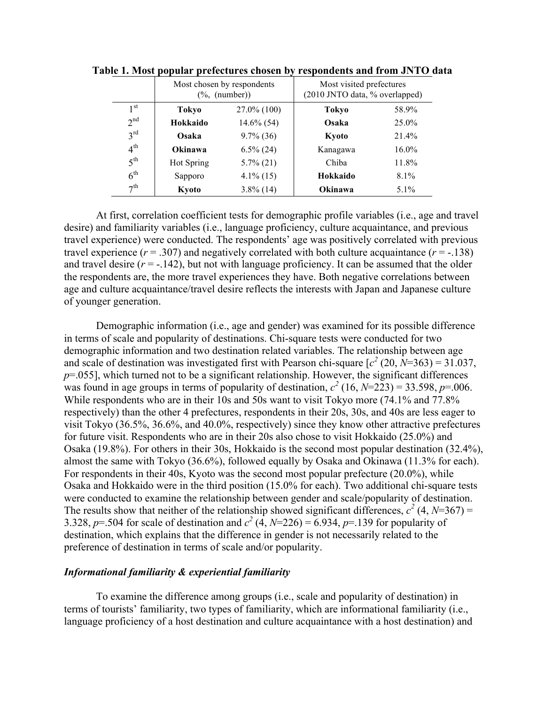|                 | Most chosen by respondents<br>$(\%$ , (number)) |               | Most visited prefectures<br>(2010 JNTO data, % overlapped) |          |  |
|-----------------|-------------------------------------------------|---------------|------------------------------------------------------------|----------|--|
| 1 st            | Tokyo                                           | 27.0% (100)   | Tokyo                                                      | 58.9%    |  |
| 2 <sup>nd</sup> | Hokkaido                                        | $14.6\%$ (54) | Osaka                                                      | 25.0%    |  |
| $3^{\text{rd}}$ | Osaka                                           | $9.7\%$ (36)  | Kyoto                                                      | 21.4%    |  |
| 4 <sup>th</sup> | Okinawa                                         | $6.5\%$ (24)  | Kanagawa                                                   | $16.0\%$ |  |
| 5 <sup>th</sup> | Hot Spring                                      | $5.7\%$ (21)  | Chiba                                                      | 11.8%    |  |
| 6 <sup>th</sup> | Sapporo                                         | $4.1\%$ (15)  | Hokkaido                                                   | $8.1\%$  |  |
| 7 <sup>th</sup> | Kyoto                                           | $3.8\%$ (14)  | Okinawa                                                    | $5.1\%$  |  |

**Table 1. Most popular prefectures chosen by respondents and from JNTO data**

At first, correlation coefficient tests for demographic profile variables (i.e., age and travel desire) and familiarity variables (i.e., language proficiency, culture acquaintance, and previous travel experience) were conducted. The respondents' age was positively correlated with previous travel experience  $(r = .307)$  and negatively correlated with both culture acquaintance  $(r = .138)$ and travel desire  $(r = -142)$ , but not with language proficiency. It can be assumed that the older the respondents are, the more travel experiences they have. Both negative correlations between age and culture acquaintance/travel desire reflects the interests with Japan and Japanese culture of younger generation.

Demographic information (i.e., age and gender) was examined for its possible difference in terms of scale and popularity of destinations. Chi-square tests were conducted for two demographic information and two destination related variables. The relationship between age and scale of destination was investigated first with Pearson chi-square  $[c^2 (20, N=363) = 31.037]$ ,  $p=0.055$ ], which turned not to be a significant relationship. However, the significant differences was found in age groups in terms of popularity of destination,  $c^2$  (16,  $N=223$ ) = 33.598,  $p=0.006$ . While respondents who are in their 10s and 50s want to visit Tokyo more (74.1% and 77.8%) respectively) than the other 4 prefectures, respondents in their 20s, 30s, and 40s are less eager to visit Tokyo (36.5%, 36.6%, and 40.0%, respectively) since they know other attractive prefectures for future visit. Respondents who are in their 20s also chose to visit Hokkaido (25.0%) and Osaka (19.8%). For others in their 30s, Hokkaido is the second most popular destination (32.4%), almost the same with Tokyo (36.6%), followed equally by Osaka and Okinawa (11.3% for each). For respondents in their 40s, Kyoto was the second most popular prefecture (20.0%), while Osaka and Hokkaido were in the third position (15.0% for each). Two additional chi-square tests were conducted to examine the relationship between gender and scale/popularity of destination. The results show that neither of the relationship showed significant differences,  $c^2$  (4, *N*=367) = 3.328, *p*=.504 for scale of destination and  $c^2$  (4, *N*=226) = 6.934, *p*=.139 for popularity of destination, which explains that the difference in gender is not necessarily related to the preference of destination in terms of scale and/or popularity.

## *Informational familiarity & experiential familiarity*

To examine the difference among groups (i.e., scale and popularity of destination) in terms of tourists' familiarity, two types of familiarity, which are informational familiarity (i.e., language proficiency of a host destination and culture acquaintance with a host destination) and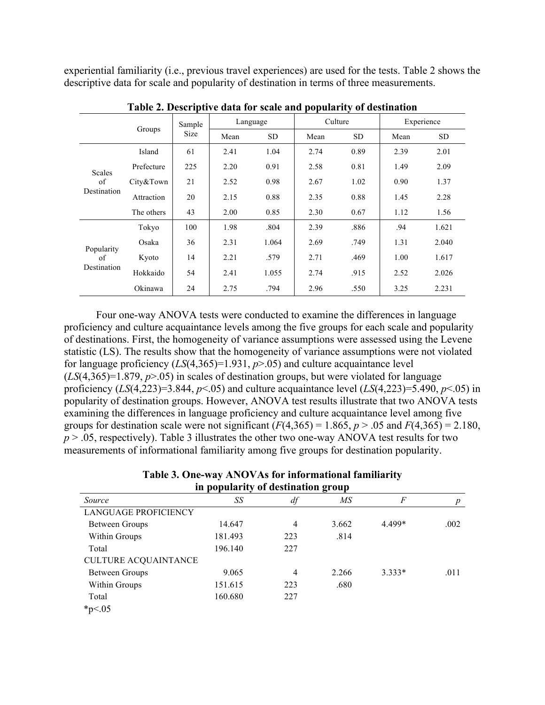experiential familiarity (i.e., previous travel experiences) are used for the tests. Table 2 shows the descriptive data for scale and popularity of destination in terms of three measurements.

|                                    | Groups     | Sample<br><b>Size</b> | Language |           | Culture |      | Experience |       |
|------------------------------------|------------|-----------------------|----------|-----------|---------|------|------------|-------|
|                                    |            |                       | Mean     | <b>SD</b> | Mean    | SD.  | Mean       | SD.   |
| <b>Scales</b><br>of<br>Destination | Island     | 61                    | 2.41     | 1.04      | 2.74    | 0.89 | 2.39       | 2.01  |
|                                    | Prefecture | 225                   | 2.20     | 0.91      | 2.58    | 0.81 | 1.49       | 2.09  |
|                                    | City&Town  | 21                    | 2.52     | 0.98      | 2.67    | 1.02 | 0.90       | 1.37  |
|                                    | Attraction | 20                    | 2.15     | 0.88      | 2.35    | 0.88 | 1.45       | 2.28  |
|                                    | The others | 43                    | 2.00     | 0.85      | 2.30    | 0.67 | 1.12       | 1.56  |
| Popularity<br>of<br>Destination    | Tokyo      | 100                   | 1.98     | .804      | 2.39    | .886 | .94        | 1.621 |
|                                    | Osaka      | 36                    | 2.31     | 1.064     | 2.69    | .749 | 1.31       | 2.040 |
|                                    | Kyoto      | 14                    | 2.21     | .579      | 2.71    | .469 | 1.00       | 1.617 |
|                                    | Hokkaido   | 54                    | 2.41     | 1.055     | 2.74    | .915 | 2.52       | 2.026 |
|                                    | Okinawa    | 24                    | 2.75     | .794      | 2.96    | .550 | 3.25       | 2.231 |

**Table 2. Descriptive data for scale and popularity of destination**

Four one-way ANOVA tests were conducted to examine the differences in language proficiency and culture acquaintance levels among the five groups for each scale and popularity of destinations. First, the homogeneity of variance assumptions were assessed using the Levene statistic (LS). The results show that the homogeneity of variance assumptions were not violated for language proficiency  $(LS(4,365)=1.931, p>0.05)$  and culture acquaintance level  $(LS(4,365)=1.879, p>0.05)$  in scales of destination groups, but were violated for language proficiency  $(LS(4,223)=3.844, p<0.05)$  and culture acquaintance level  $(LS(4,223)=5.490, p<0.05)$  in popularity of destination groups. However, ANOVA test results illustrate that two ANOVA tests examining the differences in language proficiency and culture acquaintance level among five groups for destination scale were not significant  $(F(4,365) = 1.865, p > .05$  and  $F(4,365) = 2.180$ ,  $p > 0.05$ , respectively). Table 3 illustrates the other two one-way ANOVA test results for two measurements of informational familiarity among five groups for destination popularity.

| Table 3. One-way ANOVAs for informational familiarity |
|-------------------------------------------------------|
| in popularity of destination group                    |

| in populatity of acsumation group |         |     |       |          |      |  |  |
|-----------------------------------|---------|-----|-------|----------|------|--|--|
| Source                            | SS      | df  | МS    | F        | p    |  |  |
| <b>LANGUAGE PROFICIENCY</b>       |         |     |       |          |      |  |  |
| Between Groups                    | 14.647  | 4   | 3.662 | 4.499*   | .002 |  |  |
| Within Groups                     | 181.493 | 223 | .814  |          |      |  |  |
| Total                             | 196.140 | 227 |       |          |      |  |  |
| <b>CULTURE ACQUAINTANCE</b>       |         |     |       |          |      |  |  |
| Between Groups                    | 9.065   | 4   | 2.266 | $3.333*$ | .011 |  |  |
| Within Groups                     | 151.615 | 223 | .680  |          |      |  |  |
| Total                             | 160.680 | 227 |       |          |      |  |  |
| $*_{p<.05}$                       |         |     |       |          |      |  |  |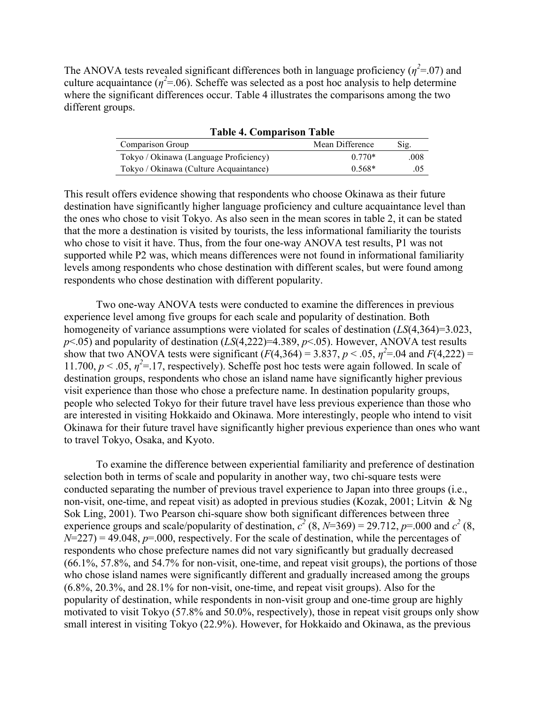The ANOVA tests revealed significant differences both in language proficiency ( $\eta^2$ =.07) and culture acquaintance ( $\eta^2$ =.06). Scheffe was selected as a post hoc analysis to help determine where the significant differences occur. Table 4 illustrates the comparisons among the two different groups.

| <b>Table 4. Comparison Table</b>       |                 |      |  |  |  |
|----------------------------------------|-----------------|------|--|--|--|
| Comparison Group                       | Mean Difference | Sig. |  |  |  |
| Tokyo / Okinawa (Language Proficiency) | $0.770*$        | .008 |  |  |  |
| Tokyo / Okinawa (Culture Acquaintance) | $0.568*$        | .05  |  |  |  |

This result offers evidence showing that respondents who choose Okinawa as their future destination have significantly higher language proficiency and culture acquaintance level than the ones who chose to visit Tokyo. As also seen in the mean scores in table 2, it can be stated that the more a destination is visited by tourists, the less informational familiarity the tourists who chose to visit it have. Thus, from the four one-way ANOVA test results, P1 was not supported while P2 was, which means differences were not found in informational familiarity levels among respondents who chose destination with different scales, but were found among respondents who chose destination with different popularity.

Two one-way ANOVA tests were conducted to examine the differences in previous experience level among five groups for each scale and popularity of destination. Both homogeneity of variance assumptions were violated for scales of destination (*LS*(4,364)=3.023, *p*<.05) and popularity of destination (*LS*(4,222)=4.389, *p*<.05). However, ANOVA test results show that two ANOVA tests were significant  $(F(4,364) = 3.837, p < .05, \eta^2 = .04$  and  $F(4,222) =$ 11.700,  $p < 0.05$ ,  $\eta^2 = 17$ , respectively). Scheffe post hoc tests were again followed. In scale of destination groups, respondents who chose an island name have significantly higher previous visit experience than those who chose a prefecture name. In destination popularity groups, people who selected Tokyo for their future travel have less previous experience than those who are interested in visiting Hokkaido and Okinawa. More interestingly, people who intend to visit Okinawa for their future travel have significantly higher previous experience than ones who want to travel Tokyo, Osaka, and Kyoto.

To examine the difference between experiential familiarity and preference of destination selection both in terms of scale and popularity in another way, two chi-square tests were conducted separating the number of previous travel experience to Japan into three groups (i.e., non-visit, one-time, and repeat visit) as adopted in previous studies (Kozak, 2001; Litvin & Ng Sok Ling, 2001). Two Pearson chi-square show both significant differences between three experience groups and scale/popularity of destination,  $c^2$  (8, *N*=369) = 29.712, *p*=.000 and  $c^2$  (8,  $N=227$ ) = 49.048,  $p=0.00$ , respectively. For the scale of destination, while the percentages of respondents who chose prefecture names did not vary significantly but gradually decreased (66.1%, 57.8%, and 54.7% for non-visit, one-time, and repeat visit groups), the portions of those who chose island names were significantly different and gradually increased among the groups (6.8%, 20.3%, and 28.1% for non-visit, one-time, and repeat visit groups). Also for the popularity of destination, while respondents in non-visit group and one-time group are highly motivated to visit Tokyo (57.8% and 50.0%, respectively), those in repeat visit groups only show small interest in visiting Tokyo (22.9%). However, for Hokkaido and Okinawa, as the previous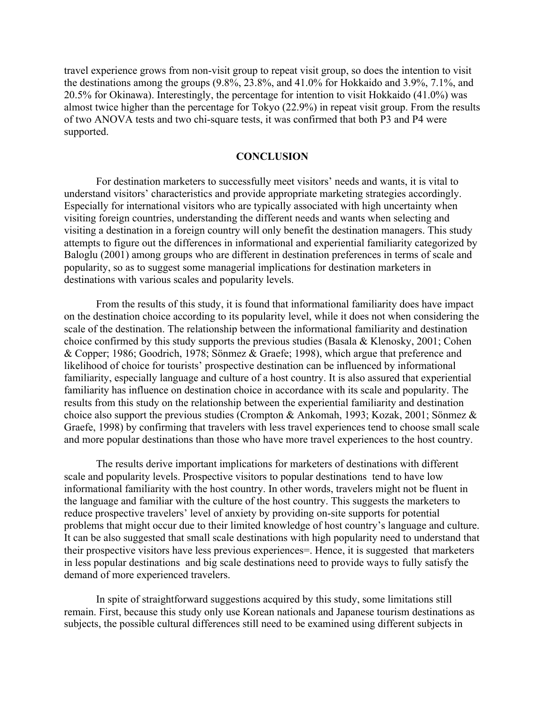travel experience grows from non-visit group to repeat visit group, so does the intention to visit the destinations among the groups (9.8%, 23.8%, and 41.0% for Hokkaido and 3.9%, 7.1%, and 20.5% for Okinawa). Interestingly, the percentage for intention to visit Hokkaido (41.0%) was almost twice higher than the percentage for Tokyo (22.9%) in repeat visit group. From the results of two ANOVA tests and two chi-square tests, it was confirmed that both P3 and P4 were supported.

# **CONCLUSION**

For destination marketers to successfully meet visitors' needs and wants, it is vital to understand visitors' characteristics and provide appropriate marketing strategies accordingly. Especially for international visitors who are typically associated with high uncertainty when visiting foreign countries, understanding the different needs and wants when selecting and visiting a destination in a foreign country will only benefit the destination managers. This study attempts to figure out the differences in informational and experiential familiarity categorized by Baloglu (2001) among groups who are different in destination preferences in terms of scale and popularity, so as to suggest some managerial implications for destination marketers in destinations with various scales and popularity levels.

From the results of this study, it is found that informational familiarity does have impact on the destination choice according to its popularity level, while it does not when considering the scale of the destination. The relationship between the informational familiarity and destination choice confirmed by this study supports the previous studies (Basala & Klenosky, 2001; Cohen & Copper; 1986; Goodrich, 1978; Sönmez & Graefe; 1998), which argue that preference and likelihood of choice for tourists' prospective destination can be influenced by informational familiarity, especially language and culture of a host country. It is also assured that experiential familiarity has influence on destination choice in accordance with its scale and popularity. The results from this study on the relationship between the experiential familiarity and destination choice also support the previous studies (Crompton & Ankomah, 1993; Kozak, 2001; Sönmez & Graefe, 1998) by confirming that travelers with less travel experiences tend to choose small scale and more popular destinations than those who have more travel experiences to the host country.

The results derive important implications for marketers of destinations with different scale and popularity levels. Prospective visitors to popular destinations tend to have low informational familiarity with the host country. In other words, travelers might not be fluent in the language and familiar with the culture of the host country. This suggests the marketers to reduce prospective travelers' level of anxiety by providing on-site supports for potential problems that might occur due to their limited knowledge of host country's language and culture. It can be also suggested that small scale destinations with high popularity need to understand that their prospective visitors have less previous experiences=. Hence, it is suggested that marketers in less popular destinations and big scale destinations need to provide ways to fully satisfy the demand of more experienced travelers.

In spite of straightforward suggestions acquired by this study, some limitations still remain. First, because this study only use Korean nationals and Japanese tourism destinations as subjects, the possible cultural differences still need to be examined using different subjects in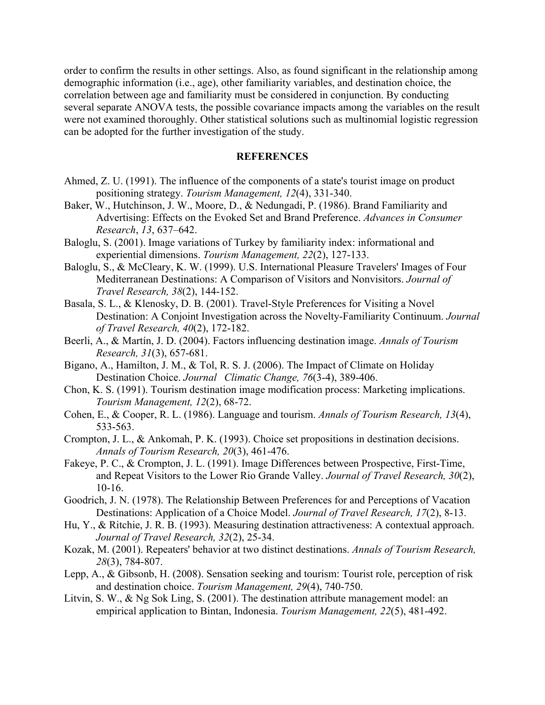order to confirm the results in other settings. Also, as found significant in the relationship among demographic information (i.e., age), other familiarity variables, and destination choice, the correlation between age and familiarity must be considered in conjunction. By conducting several separate ANOVA tests, the possible covariance impacts among the variables on the result were not examined thoroughly. Other statistical solutions such as multinomial logistic regression can be adopted for the further investigation of the study.

## **REFERENCES**

- Ahmed, Z. U. (1991). The influence of the components of a state's tourist image on product positioning strategy. *Tourism Management, 12*(4), 331-340.
- Baker, W., Hutchinson, J. W., Moore, D., & Nedungadi, P. (1986). Brand Familiarity and Advertising: Effects on the Evoked Set and Brand Preference. *Advances in Consumer Research*, *13*, 637–642.
- Baloglu, S. (2001). Image variations of Turkey by familiarity index: informational and experiential dimensions. *Tourism Management, 22*(2), 127-133.
- Baloglu, S., & McCleary, K. W. (1999). U.S. International Pleasure Travelers' Images of Four Mediterranean Destinations: A Comparison of Visitors and Nonvisitors. *Journal of Travel Research, 38*(2), 144-152.
- Basala, S. L., & Klenosky, D. B. (2001). Travel-Style Preferences for Visiting a Novel Destination: A Conjoint Investigation across the Novelty-Familiarity Continuum. *Journal of Travel Research, 40*(2), 172-182.
- Beerli, A., & Martín, J. D. (2004). Factors influencing destination image. *Annals of Tourism Research, 31*(3), 657-681.
- Bigano, A., Hamilton, J. M., & Tol, R. S. J. (2006). The Impact of Climate on Holiday Destination Choice. *Journal Climatic Change, 76*(3-4), 389-406.
- Chon, K. S. (1991). Tourism destination image modification process: Marketing implications. *Tourism Management, 12*(2), 68-72.
- Cohen, E., & Cooper, R. L. (1986). Language and tourism. *Annals of Tourism Research, 13*(4), 533-563.
- Crompton, J. L., & Ankomah, P. K. (1993). Choice set propositions in destination decisions. *Annals of Tourism Research, 20*(3), 461-476.
- Fakeye, P. C., & Crompton, J. L. (1991). Image Differences between Prospective, First-Time, and Repeat Visitors to the Lower Rio Grande Valley. *Journal of Travel Research, 30*(2), 10-16.
- Goodrich, J. N. (1978). The Relationship Between Preferences for and Perceptions of Vacation Destinations: Application of a Choice Model. *Journal of Travel Research, 17*(2), 8-13.
- Hu, Y., & Ritchie, J. R. B. (1993). Measuring destination attractiveness: A contextual approach. *Journal of Travel Research, 32*(2), 25-34.
- Kozak, M. (2001). Repeaters' behavior at two distinct destinations. *Annals of Tourism Research, 28*(3), 784-807.
- Lepp, A., & Gibsonb, H. (2008). Sensation seeking and tourism: Tourist role, perception of risk and destination choice. *Tourism Management, 29*(4), 740-750.
- Litvin, S. W., & Ng Sok Ling, S. (2001). The destination attribute management model: an empirical application to Bintan, Indonesia. *Tourism Management, 22*(5), 481-492.